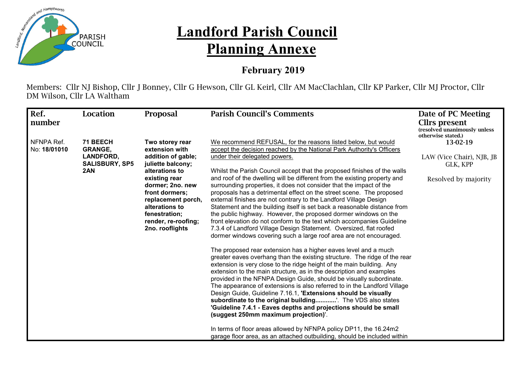

## **Landford Parish Council Planning Annexe**

## **February 2019**

Members: Cllr NJ Bishop, Cllr J Bonney, Cllr G Hewson, Cllr GL Keirl, Cllr AM MacClachlan, Cllr KP Parker, Cllr MJ Proctor, Cllr DM Wilson, Cllr LA Waltham

| Ref.<br>number             | Location                                                         | Proposal                                                                                                                                               | <b>Parish Council's Comments</b>                                                                                                                                                                                                                                                                                                                                                                                                                                                                                                                                                                                                                                                                                                                                                                                                                                                                                                                                                                                                                                                                                                                                                                                                                                                                                                                                                                                                             | Date of PC Meeting<br><b>Clirs present</b><br>(resolved unanimously unless<br>otherwise stated.) |
|----------------------------|------------------------------------------------------------------|--------------------------------------------------------------------------------------------------------------------------------------------------------|----------------------------------------------------------------------------------------------------------------------------------------------------------------------------------------------------------------------------------------------------------------------------------------------------------------------------------------------------------------------------------------------------------------------------------------------------------------------------------------------------------------------------------------------------------------------------------------------------------------------------------------------------------------------------------------------------------------------------------------------------------------------------------------------------------------------------------------------------------------------------------------------------------------------------------------------------------------------------------------------------------------------------------------------------------------------------------------------------------------------------------------------------------------------------------------------------------------------------------------------------------------------------------------------------------------------------------------------------------------------------------------------------------------------------------------------|--------------------------------------------------------------------------------------------------|
| NFNPA Ref.<br>No: 18/01010 | 71 BEECH<br><b>GRANGE,</b><br>LANDFORD,<br><b>SALISBURY, SP5</b> | Two storey rear<br>extension with<br>addition of gable;<br>juliette balcony;                                                                           | We recommend REFUSAL, for the reasons listed below, but would<br>accept the decision reached by the National Park Authority's Officers                                                                                                                                                                                                                                                                                                                                                                                                                                                                                                                                                                                                                                                                                                                                                                                                                                                                                                                                                                                                                                                                                                                                                                                                                                                                                                       | 13-02-19                                                                                         |
|                            |                                                                  |                                                                                                                                                        | under their delegated powers.                                                                                                                                                                                                                                                                                                                                                                                                                                                                                                                                                                                                                                                                                                                                                                                                                                                                                                                                                                                                                                                                                                                                                                                                                                                                                                                                                                                                                | LAW (Vice Chair), NJB, JB<br>GLK, KPP                                                            |
|                            | 2AN                                                              | existing rear<br>dormer; 2no. new<br>front dormers;<br>replacement porch,<br>alterations to<br>fenestration:<br>render, re-roofing;<br>2no. rooflights | Whilst the Parish Council accept that the proposed finishes of the walls<br>and roof of the dwelling will be different from the existing property and<br>surrounding properties, it does not consider that the impact of the<br>proposals has a detrimental effect on the street scene. The proposed<br>external finishes are not contrary to the Landford Village Design<br>Statement and the building itself is set back a reasonable distance from<br>the public highway. However, the proposed dormer windows on the<br>front elevation do not conform to the text which accompanies Guideline<br>7.3.4 of Landford Village Design Statement. Oversized, flat roofed<br>dormer windows covering such a large roof area are not encouraged.<br>The proposed rear extension has a higher eaves level and a much<br>greater eaves overhang than the existing structure. The ridge of the rear<br>extension is very close to the ridge height of the main building. Any<br>extension to the main structure, as in the description and examples<br>provided in the NFNPA Design Guide, should be visually subordinate.<br>The appearance of extensions is also referred to in the Landford Village<br>Design Guide, Guideline 7.16.1, 'Extensions should be visually<br>subordinate to the original building'. The VDS also states<br>'Guideline 7.4.1 - Eaves depths and projections should be small<br>(suggest 250mm maximum projection)'. | Resolved by majority                                                                             |
|                            |                                                                  |                                                                                                                                                        | In terms of floor areas allowed by NFNPA policy DP11, the 16.24m2<br>garage floor area, as an attached outbuilding, should be included within                                                                                                                                                                                                                                                                                                                                                                                                                                                                                                                                                                                                                                                                                                                                                                                                                                                                                                                                                                                                                                                                                                                                                                                                                                                                                                |                                                                                                  |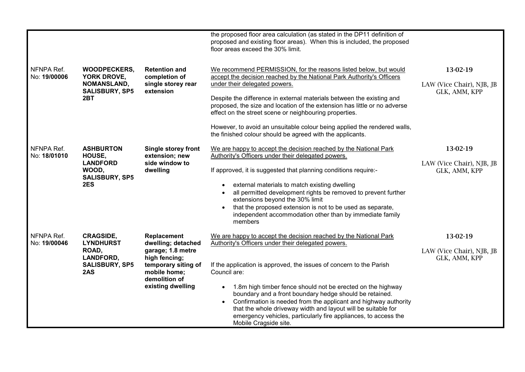|                            |                                                                                                   |                                                                                                                                                      | the proposed floor area calculation (as stated in the DP11 definition of<br>proposed and existing floor areas). When this is included, the proposed<br>floor areas exceed the 30% limit.                                                                                                                                                                                                                                                                                                                                                                                |                                                        |
|----------------------------|---------------------------------------------------------------------------------------------------|------------------------------------------------------------------------------------------------------------------------------------------------------|-------------------------------------------------------------------------------------------------------------------------------------------------------------------------------------------------------------------------------------------------------------------------------------------------------------------------------------------------------------------------------------------------------------------------------------------------------------------------------------------------------------------------------------------------------------------------|--------------------------------------------------------|
| NFNPA Ref.<br>No: 19/00006 | <b>WOODPECKERS,</b><br>YORK DROVE,<br><b>NOMANSLAND,</b><br><b>SALISBURY, SP5</b><br>2BT          | <b>Retention and</b><br>completion of<br>single storey rear<br>extension                                                                             | We recommend PERMISSION, for the reasons listed below, but would<br>accept the decision reached by the National Park Authority's Officers<br>under their delegated powers.<br>Despite the difference in external materials between the existing and<br>proposed, the size and location of the extension has little or no adverse<br>effect on the street scene or neighbouring properties.<br>However, to avoid an unsuitable colour being applied the rendered walls,                                                                                                  | 13-02-19<br>LAW (Vice Chair), NJB, JB<br>GLK, AMM, KPP |
| NFNPA Ref.<br>No: 18/01010 | <b>ASHBURTON</b><br>HOUSE,<br><b>LANDFORD</b><br>WOOD,<br><b>SALISBURY, SP5</b><br>2ES            | Single storey front<br>extension; new<br>side window to<br>dwelling                                                                                  | the finished colour should be agreed with the applicants.<br>We are happy to accept the decision reached by the National Park<br>Authority's Officers under their delegated powers.<br>If approved, it is suggested that planning conditions require:-<br>external materials to match existing dwelling<br>all permitted development rights be removed to prevent further<br>extensions beyond the 30% limit<br>that the proposed extension is not to be used as separate,<br>independent accommodation other than by immediate family<br>members                       | 13-02-19<br>LAW (Vice Chair), NJB, JB<br>GLK, AMM, KPP |
| NFNPA Ref.<br>No: 19/00046 | <b>CRAGSIDE,</b><br><b>LYNDHURST</b><br>ROAD,<br><b>LANDFORD,</b><br><b>SALISBURY, SP5</b><br>2AS | Replacement<br>dwelling; detached<br>garage; 1.8 metre<br>high fencing;<br>temporary siting of<br>mobile home:<br>demolition of<br>existing dwelling | We are happy to accept the decision reached by the National Park<br>Authority's Officers under their delegated powers.<br>If the application is approved, the issues of concern to the Parish<br>Council are:<br>1.8m high timber fence should not be erected on the highway<br>boundary and a front boundary hedge should be retained.<br>Confirmation is needed from the applicant and highway authority<br>that the whole driveway width and layout will be suitable for<br>emergency vehicles, particularly fire appliances, to access the<br>Mobile Cragside site. | 13-02-19<br>LAW (Vice Chair), NJB, JB<br>GLK, AMM, KPP |